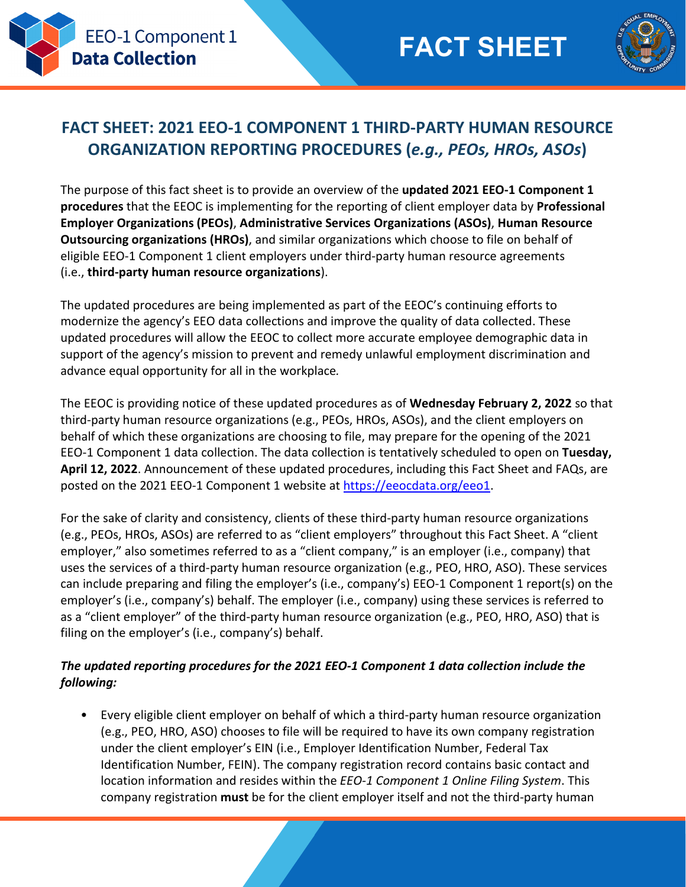



# **FACT SHEET: 2021 EEO-1 COMPONENT 1 THIRD-PARTY HUMAN RESOURCE ORGANIZATION REPORTING PROCEDURES (***e.g., PEOs, HROs, ASOs***)**

The purpose of this fact sheet is to provide an overview of the **updated 2021 EEO-1 Component 1 procedures** that the EEOC is implementing for the reporting of client employer data by **Professional Employer Organizations (PEOs)**, **Administrative Services Organizations (ASOs)**, **Human Resource Outsourcing organizations (HROs)**, and similar organizations which choose to file on behalf of eligible EEO-1 Component 1 client employers under third-party human resource agreements (i.e., **third-party human resource organizations**).

The updated procedures are being implemented as part of the EEOC's continuing efforts to modernize the agency's EEO data collections and improve the quality of data collected. These updated procedures will allow the EEOC to collect more accurate employee demographic data in support of the agency's mission to prevent and remedy unlawful employment discrimination and advance equal opportunity for all in the workplace*.* 

The EEOC is providing notice of these updated procedures as of **Wednesday February 2, 2022** so that third-party human resource organizations (e.g., PEOs, HROs, ASOs), and the client employers on behalf of which these organizations are choosing to file, may prepare for the opening of the 2021 EEO-1 Component 1 data collection. The data collection is tentatively scheduled to open on **Tuesday, April 12, 2022**. Announcement of these updated procedures, including this Fact Sheet and FAQs, are posted on the 2021 EEO-1 Component 1 website at [https://eeocdata.org/eeo1.](https://eeocdata.org/eeo1)

For the sake of clarity and consistency, clients of these third-party human resource organizations (e.g., PEOs, HROs, ASOs) are referred to as "client employers" throughout this Fact Sheet. A "client employer," also sometimes referred to as a "client company," is an employer (i.e., company) that uses the services of a third-party human resource organization (e.g., PEO, HRO, ASO). These services can include preparing and filing the employer's (i.e., company's) EEO-1 Component 1 report(s) on the employer's (i.e., company's) behalf. The employer (i.e., company) using these services is referred to as a "client employer" of the third-party human resource organization (e.g., PEO, HRO, ASO) that is filing on the employer's (i.e., company's) behalf.

### *The updated reporting procedures for the 2021 EEO-1 Component 1 data collection include the following:*

• Every eligible client employer on behalf of which a third-party human resource organization (e.g., PEO, HRO, ASO) chooses to file will be required to have its own company registration under the client employer's EIN (i.e., Employer Identification Number, Federal Tax Identification Number, FEIN). The company registration record contains basic contact and location information and resides within the *EEO-1 Component 1 Online Filing System*. This company registration **must** be for the client employer itself and not the third-party human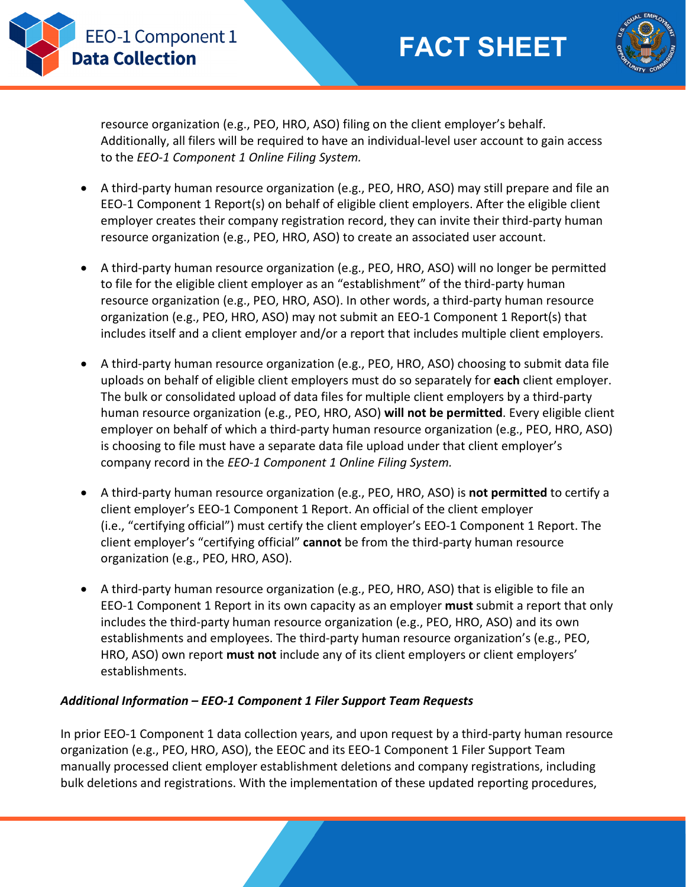**FACT SHEET**



resource organization (e.g., PEO, HRO, ASO) filing on the client employer's behalf. Additionally, all filers will be required to have an individual-level user account to gain access to the *EEO-1 Component 1 Online Filing System.*

**EEO-1 Component 1** 

**Data Collection** 

- A third-party human resource organization (e.g., PEO, HRO, ASO) may still prepare and file an EEO-1 Component 1 Report(s) on behalf of eligible client employers. After the eligible client employer creates their company registration record, they can invite their third-party human resource organization (e.g., PEO, HRO, ASO) to create an associated user account.
- A third-party human resource organization (e.g., PEO, HRO, ASO) will no longer be permitted to file for the eligible client employer as an "establishment" of the third-party human resource organization (e.g., PEO, HRO, ASO). In other words, a third-party human resource organization (e.g., PEO, HRO, ASO) may not submit an EEO-1 Component 1 Report(s) that includes itself and a client employer and/or a report that includes multiple client employers.
- A third-party human resource organization (e.g., PEO, HRO, ASO) choosing to submit data file uploads on behalf of eligible client employers must do so separately for **each** client employer. The bulk or consolidated upload of data files for multiple client employers by a third-party human resource organization (e.g., PEO, HRO, ASO) **will not be permitted**. Every eligible client employer on behalf of which a third-party human resource organization (e.g., PEO, HRO, ASO) is choosing to file must have a separate data file upload under that client employer's company record in the *EEO-1 Component 1 Online Filing System.*
- A third-party human resource organization (e.g., PEO, HRO, ASO) is **not permitted** to certify a client employer's EEO-1 Component 1 Report. An official of the client employer (i.e., "certifying official") must certify the client employer's EEO-1 Component 1 Report. The client employer's "certifying official" **cannot** be from the third-party human resource organization (e.g., PEO, HRO, ASO).
- A third-party human resource organization (e.g., PEO, HRO, ASO) that is eligible to file an EEO-1 Component 1 Report in its own capacity as an employer **must** submit a report that only includes the third-party human resource organization (e.g., PEO, HRO, ASO) and its own establishments and employees. The third-party human resource organization's (e.g., PEO, HRO, ASO) own report **must not** include any of its client employers or client employers' establishments.

## *Additional Information – EEO-1 Component 1 Filer Support Team Requests*

In prior EEO-1 Component 1 data collection years, and upon request by a third-party human resource organization (e.g., PEO, HRO, ASO), the EEOC and its EEO-1 Component 1 Filer Support Team manually processed client employer establishment deletions and company registrations, including bulk deletions and registrations. With the implementation of these updated reporting procedures,